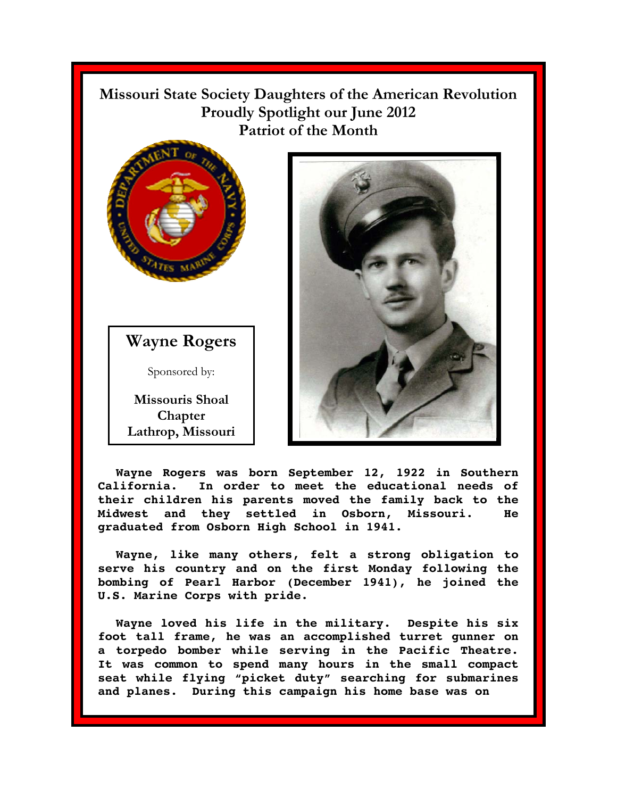**Missouri State Society Daughters of the American Revolution Proudly Spotlight our June 2012 Patriot of the Month** 



**Wayne Rogers** 

Sponsored by:

**Missouris Shoal Chapter Lathrop, Missouri** 



**Wayne Rogers was born September 12, 1922 in Southern California. In order to meet the educational needs of their children his parents moved the family back to the Midwest and they settled in Osborn, Missouri. He graduated from Osborn High School in 1941.** 

**Wayne, like many others, felt a strong obligation to serve his country and on the first Monday following the bombing of Pearl Harbor (December 1941), he joined the U.S. Marine Corps with pride.** 

**Wayne loved his life in the military. Despite his six foot tall frame, he was an accomplished turret gunner on a torpedo bomber while serving in the Pacific Theatre. It was common to spend many hours in the small compact seat while flying "picket duty" searching for submarines and planes. During this campaign his home base was on**